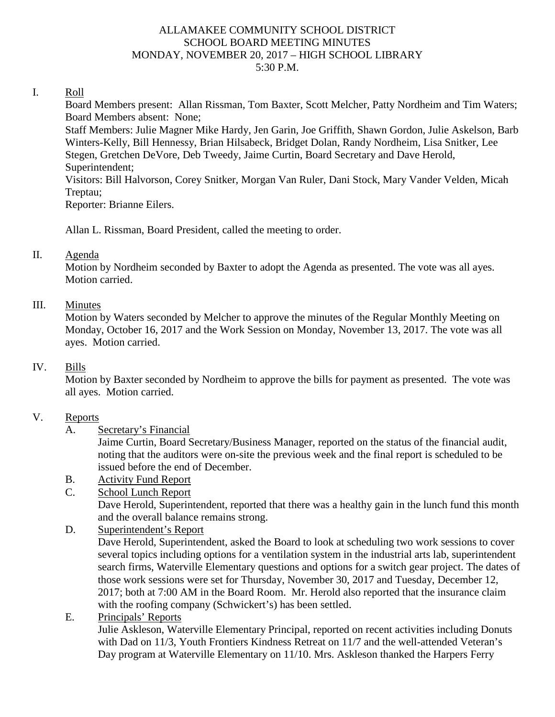#### ALLAMAKEE COMMUNITY SCHOOL DISTRICT SCHOOL BOARD MEETING MINUTES MONDAY, NOVEMBER 20, 2017 – HIGH SCHOOL LIBRARY 5:30 P.M.

#### I. Roll

Board Members present: Allan Rissman, Tom Baxter, Scott Melcher, Patty Nordheim and Tim Waters; Board Members absent: None;

Staff Members: Julie Magner Mike Hardy, Jen Garin, Joe Griffith, Shawn Gordon, Julie Askelson, Barb Winters-Kelly, Bill Hennessy, Brian Hilsabeck, Bridget Dolan, Randy Nordheim, Lisa Snitker, Lee Stegen, Gretchen DeVore, Deb Tweedy, Jaime Curtin, Board Secretary and Dave Herold, Superintendent;

Visitors: Bill Halvorson, Corey Snitker, Morgan Van Ruler, Dani Stock, Mary Vander Velden, Micah Treptau;

Reporter: Brianne Eilers.

Allan L. Rissman, Board President, called the meeting to order.

#### II. Agenda

Motion by Nordheim seconded by Baxter to adopt the Agenda as presented. The vote was all ayes. Motion carried.

#### III. Minutes

Motion by Waters seconded by Melcher to approve the minutes of the Regular Monthly Meeting on Monday, October 16, 2017 and the Work Session on Monday, November 13, 2017. The vote was all ayes. Motion carried.

#### IV. Bills

Motion by Baxter seconded by Nordheim to approve the bills for payment as presented. The vote was all ayes. Motion carried.

### V. Reports

A. Secretary's Financial

Jaime Curtin, Board Secretary/Business Manager, reported on the status of the financial audit, noting that the auditors were on-site the previous week and the final report is scheduled to be issued before the end of December.

B. Activity Fund Report

### C. School Lunch Report

Dave Herold, Superintendent, reported that there was a healthy gain in the lunch fund this month and the overall balance remains strong.

D. Superintendent's Report

Dave Herold, Superintendent, asked the Board to look at scheduling two work sessions to cover several topics including options for a ventilation system in the industrial arts lab, superintendent search firms, Waterville Elementary questions and options for a switch gear project. The dates of those work sessions were set for Thursday, November 30, 2017 and Tuesday, December 12, 2017; both at 7:00 AM in the Board Room. Mr. Herold also reported that the insurance claim with the roofing company (Schwickert's) has been settled.

E. Principals' Reports

Julie Askleson, Waterville Elementary Principal, reported on recent activities including Donuts with Dad on 11/3, Youth Frontiers Kindness Retreat on 11/7 and the well-attended Veteran's Day program at Waterville Elementary on 11/10. Mrs. Askleson thanked the Harpers Ferry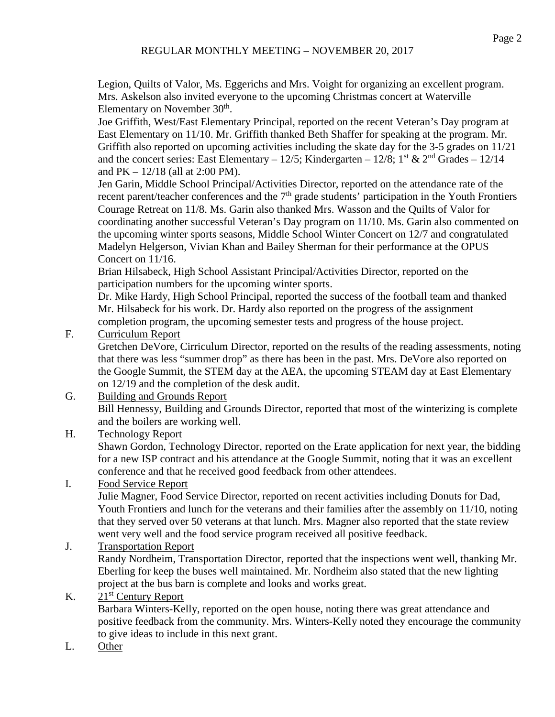Legion, Quilts of Valor, Ms. Eggerichs and Mrs. Voight for organizing an excellent program. Mrs. Askelson also invited everyone to the upcoming Christmas concert at Waterville Elementary on November 30<sup>th</sup>.

Joe Griffith, West/East Elementary Principal, reported on the recent Veteran's Day program at East Elementary on 11/10. Mr. Griffith thanked Beth Shaffer for speaking at the program. Mr. Griffith also reported on upcoming activities including the skate day for the 3-5 grades on 11/21 and the concert series: East Elementary – 12/5; Kindergarten – 12/8; 1<sup>st</sup> & 2<sup>nd</sup> Grades – 12/14 and  $PK - 12/18$  (all at 2:00 PM).

Jen Garin, Middle School Principal/Activities Director, reported on the attendance rate of the recent parent/teacher conferences and the 7<sup>th</sup> grade students' participation in the Youth Frontiers Courage Retreat on 11/8. Ms. Garin also thanked Mrs. Wasson and the Quilts of Valor for coordinating another successful Veteran's Day program on 11/10. Ms. Garin also commented on the upcoming winter sports seasons, Middle School Winter Concert on 12/7 and congratulated Madelyn Helgerson, Vivian Khan and Bailey Sherman for their performance at the OPUS Concert on 11/16.

Brian Hilsabeck, High School Assistant Principal/Activities Director, reported on the participation numbers for the upcoming winter sports.

Dr. Mike Hardy, High School Principal, reported the success of the football team and thanked Mr. Hilsabeck for his work. Dr. Hardy also reported on the progress of the assignment completion program, the upcoming semester tests and progress of the house project.

F. Curriculum Report

Gretchen DeVore, Cirriculum Director, reported on the results of the reading assessments, noting that there was less "summer drop" as there has been in the past. Mrs. DeVore also reported on the Google Summit, the STEM day at the AEA, the upcoming STEAM day at East Elementary on 12/19 and the completion of the desk audit.

#### G. Building and Grounds Report Bill Hennessy, Building and Grounds Director, reported that most of the winterizing is complete and the boilers are working well.

# H. Technology Report

Shawn Gordon, Technology Director, reported on the Erate application for next year, the bidding for a new ISP contract and his attendance at the Google Summit, noting that it was an excellent conference and that he received good feedback from other attendees.

# I. Food Service Report

Julie Magner, Food Service Director, reported on recent activities including Donuts for Dad, Youth Frontiers and lunch for the veterans and their families after the assembly on 11/10, noting that they served over 50 veterans at that lunch. Mrs. Magner also reported that the state review went very well and the food service program received all positive feedback.

## J. Transportation Report

Randy Nordheim, Transportation Director, reported that the inspections went well, thanking Mr. Eberling for keep the buses well maintained. Mr. Nordheim also stated that the new lighting project at the bus barn is complete and looks and works great.

## K.  $21<sup>st</sup>$  Century Report

Barbara Winters-Kelly, reported on the open house, noting there was great attendance and positive feedback from the community. Mrs. Winters-Kelly noted they encourage the community to give ideas to include in this next grant.

L. Other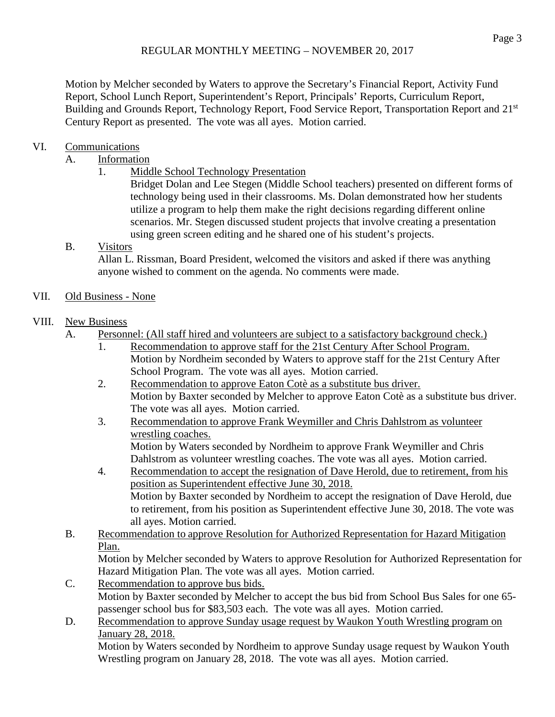Motion by Melcher seconded by Waters to approve the Secretary's Financial Report, Activity Fund Report, School Lunch Report, Superintendent's Report, Principals' Reports, Curriculum Report, Building and Grounds Report, Technology Report, Food Service Report, Transportation Report and 21<sup>st</sup> Century Report as presented. The vote was all ayes. Motion carried.

# VI. Communications

## A. Information

1. Middle School Technology Presentation

Bridget Dolan and Lee Stegen (Middle School teachers) presented on different forms of technology being used in their classrooms. Ms. Dolan demonstrated how her students utilize a program to help them make the right decisions regarding different online scenarios. Mr. Stegen discussed student projects that involve creating a presentation using green screen editing and he shared one of his student's projects.

# B. Visitors

Allan L. Rissman, Board President, welcomed the visitors and asked if there was anything anyone wished to comment on the agenda. No comments were made.

# VII. Old Business - None

# VIII. New Business

- A. Personnel: (All staff hired and volunteers are subject to a satisfactory background check.)
	- 1. Recommendation to approve staff for the 21st Century After School Program. Motion by Nordheim seconded by Waters to approve staff for the 21st Century After School Program. The vote was all ayes. Motion carried.
	- 2. Recommendation to approve Eaton Cotè as a substitute bus driver. Motion by Baxter seconded by Melcher to approve Eaton Cotè as a substitute bus driver. The vote was all ayes. Motion carried.
	- 3. Recommendation to approve Frank Weymiller and Chris Dahlstrom as volunteer wrestling coaches. Motion by Waters seconded by Nordheim to approve Frank Weymiller and Chris Dahlstrom as volunteer wrestling coaches. The vote was all ayes. Motion carried.
	- 4. Recommendation to accept the resignation of Dave Herold, due to retirement, from his position as Superintendent effective June 30, 2018. Motion by Baxter seconded by Nordheim to accept the resignation of Dave Herold, due to retirement, from his position as Superintendent effective June 30, 2018. The vote was all ayes. Motion carried.
- B. Recommendation to approve Resolution for Authorized Representation for Hazard Mitigation Plan.

Motion by Melcher seconded by Waters to approve Resolution for Authorized Representation for Hazard Mitigation Plan. The vote was all ayes. Motion carried.

- C. Recommendation to approve bus bids. Motion by Baxter seconded by Melcher to accept the bus bid from School Bus Sales for one 65 passenger school bus for \$83,503 each. The vote was all ayes. Motion carried.
- D. Recommendation to approve Sunday usage request by Waukon Youth Wrestling program on January 28, 2018. Motion by Waters seconded by Nordheim to approve Sunday usage request by Waukon Youth Wrestling program on January 28, 2018. The vote was all ayes. Motion carried.